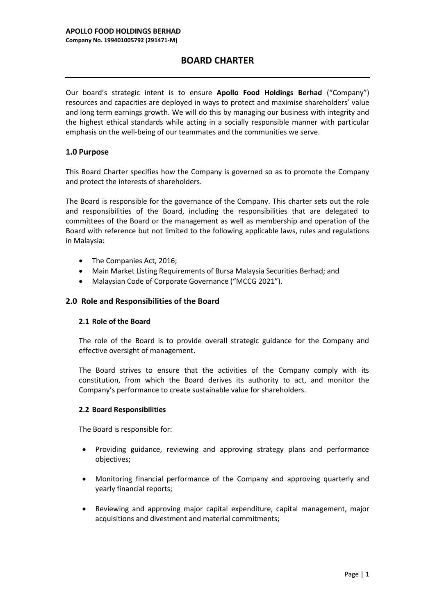# **BOARD CHARTER**

Our board's strategic intent is to ensure **Apollo Food Holdings Berhad** ("Company") resources and capacities are deployed in ways to protect and maximise shareholders' value and long term earnings growth. We will do this by managing our business with integrity and the highest ethical standards while acting in a socially responsible manner with particular emphasis on the well-being of our teammates and the communities we serve.

### **1.0 Purpose**

This Board Charter specifies how the Company is governed so as to promote the Company and protect the interests of shareholders.

The Board is responsible for the governance of the Company. This charter sets out the role and responsibilities of the Board, including the responsibilities that are delegated to committees of the Board or the management as well as membership and operation of the Board with reference but not limited to the following applicable laws, rules and regulations in Malaysia:

- The Companies Act, 2016;
- Main Market Listing Requirements of Bursa Malaysia Securities Berhad; and
- Malaysian Code of Corporate Governance ("MCCG 2021").

### **2.0 Role and Responsibilities of the Board**

#### **2.1 Role of the Board**

The role of the Board is to provide overall strategic guidance for the Company and effective oversight of management.

The Board strives to ensure that the activities of the Company comply with its constitution, from which the Board derives its authority to act, and monitor the Company's performance to create sustainable value for shareholders.

#### **2.2 Board Responsibilities**

The Board is responsible for:

- Providing guidance, reviewing and approving strategy plans and performance objectives;
- Monitoring financial performance of the Company and approving quarterly and yearly financial reports;
- Reviewing and approving major capital expenditure, capital management, major acquisitions and divestment and material commitments;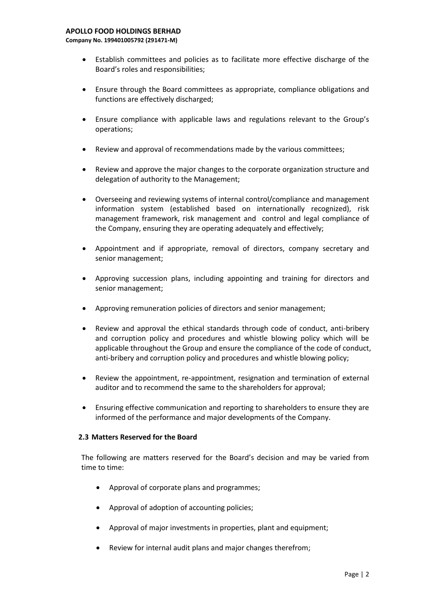**Company No. 199401005792 (291471-M)**

- Establish committees and policies as to facilitate more effective discharge of the Board's roles and responsibilities;
- Ensure through the Board committees as appropriate, compliance obligations and functions are effectively discharged;
- Ensure compliance with applicable laws and regulations relevant to the Group's operations;
- Review and approval of recommendations made by the various committees;
- Review and approve the major changes to the corporate organization structure and delegation of authority to the Management;
- Overseeing and reviewing systems of internal control/compliance and management information system (established based on internationally recognized), risk management framework, risk management and control and legal compliance of the Company, ensuring they are operating adequately and effectively;
- Appointment and if appropriate, removal of directors, company secretary and senior management;
- Approving succession plans, including appointing and training for directors and senior management;
- Approving remuneration policies of directors and senior management;
- Review and approval the ethical standards through code of conduct, anti-bribery and corruption policy and procedures and whistle blowing policy which will be applicable throughout the Group and ensure the compliance of the code of conduct, anti-bribery and corruption policy and procedures and whistle blowing policy;
- Review the appointment, re-appointment, resignation and termination of external auditor and to recommend the same to the shareholders for approval;
- Ensuring effective communication and reporting to shareholders to ensure they are informed of the performance and major developments of the Company.

#### **2.3 Matters Reserved for the Board**

The following are matters reserved for the Board's decision and may be varied from time to time:

- Approval of corporate plans and programmes;
- Approval of adoption of accounting policies;
- Approval of major investments in properties, plant and equipment;
- Review for internal audit plans and major changes therefrom;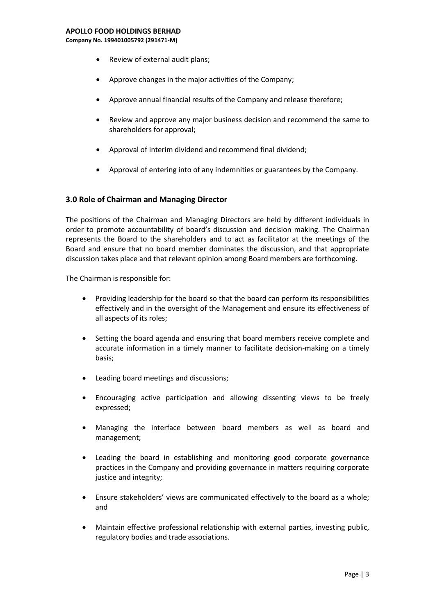#### **APOLLO FOOD HOLDINGS BERHAD**

**Company No. 199401005792 (291471-M)**

- Review of external audit plans;
- Approve changes in the major activities of the Company;
- Approve annual financial results of the Company and release therefore;
- Review and approve any major business decision and recommend the same to shareholders for approval;
- Approval of interim dividend and recommend final dividend;
- Approval of entering into of any indemnities or guarantees by the Company.

#### **3.0 Role of Chairman and Managing Director**

The positions of the Chairman and Managing Directors are held by different individuals in order to promote accountability of board's discussion and decision making. The Chairman represents the Board to the shareholders and to act as facilitator at the meetings of the Board and ensure that no board member dominates the discussion, and that appropriate discussion takes place and that relevant opinion among Board members are forthcoming.

The Chairman is responsible for:

- Providing leadership for the board so that the board can perform its responsibilities effectively and in the oversight of the Management and ensure its effectiveness of all aspects of its roles;
- Setting the board agenda and ensuring that board members receive complete and accurate information in a timely manner to facilitate decision-making on a timely basis;
- Leading board meetings and discussions;
- Encouraging active participation and allowing dissenting views to be freely expressed;
- Managing the interface between board members as well as board and management;
- Leading the board in establishing and monitoring good corporate governance practices in the Company and providing governance in matters requiring corporate justice and integrity:
- Ensure stakeholders' views are communicated effectively to the board as a whole; and
- Maintain effective professional relationship with external parties, investing public, regulatory bodies and trade associations.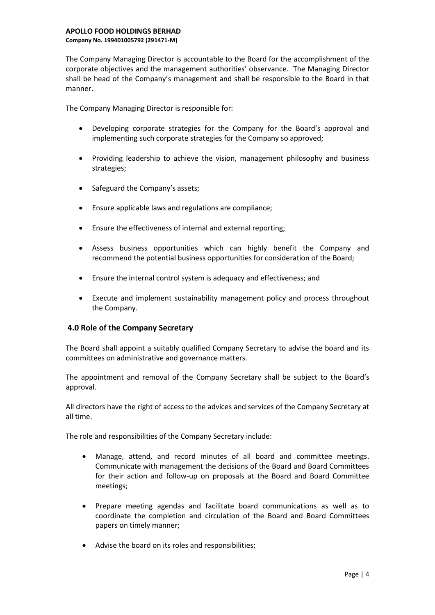The Company Managing Director is accountable to the Board for the accomplishment of the corporate objectives and the management authorities' observance. The Managing Director shall be head of the Company's management and shall be responsible to the Board in that manner.

The Company Managing Director is responsible for:

- Developing corporate strategies for the Company for the Board's approval and implementing such corporate strategies for the Company so approved;
- Providing leadership to achieve the vision, management philosophy and business strategies;
- Safeguard the Company's assets;
- Ensure applicable laws and regulations are compliance;
- Ensure the effectiveness of internal and external reporting;
- Assess business opportunities which can highly benefit the Company and recommend the potential business opportunities for consideration of the Board;
- Ensure the internal control system is adequacy and effectiveness; and
- Execute and implement sustainability management policy and process throughout the Company.

## **4.0 Role of the Company Secretary**

The Board shall appoint a suitably qualified Company Secretary to advise the board and its committees on administrative and governance matters.

The appointment and removal of the Company Secretary shall be subject to the Board's approval.

All directors have the right of access to the advices and services of the Company Secretary at all time.

The role and responsibilities of the Company Secretary include:

- Manage, attend, and record minutes of all board and committee meetings. Communicate with management the decisions of the Board and Board Committees for their action and follow-up on proposals at the Board and Board Committee meetings;
- Prepare meeting agendas and facilitate board communications as well as to coordinate the completion and circulation of the Board and Board Committees papers on timely manner;
- Advise the board on its roles and responsibilities;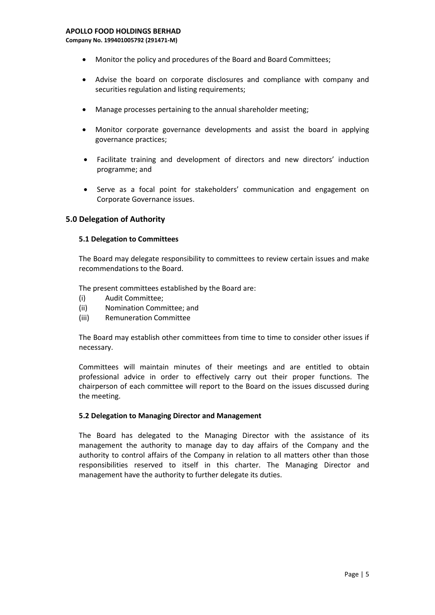#### **APOLLO FOOD HOLDINGS BERHAD**

**Company No. 199401005792 (291471-M)**

- Monitor the policy and procedures of the Board and Board Committees;
- Advise the board on corporate disclosures and compliance with company and securities regulation and listing requirements;
- Manage processes pertaining to the annual shareholder meeting;
- Monitor corporate governance developments and assist the board in applying governance practices;
- Facilitate training and development of directors and new directors' induction programme; and
- Serve as a focal point for stakeholders' communication and engagement on Corporate Governance issues.

#### **5.0 Delegation of Authority**

#### **5.1 Delegation to Committees**

The Board may delegate responsibility to committees to review certain issues and make recommendations to the Board.

The present committees established by the Board are:

- (i) Audit Committee;
- (ii) Nomination Committee; and
- (iii) Remuneration Committee

The Board may establish other committees from time to time to consider other issues if necessary.

Committees will maintain minutes of their meetings and are entitled to obtain professional advice in order to effectively carry out their proper functions. The chairperson of each committee will report to the Board on the issues discussed during the meeting.

#### **5.2 Delegation to Managing Director and Management**

The Board has delegated to the Managing Director with the assistance of its management the authority to manage day to day affairs of the Company and the authority to control affairs of the Company in relation to all matters other than those responsibilities reserved to itself in this charter. The Managing Director and management have the authority to further delegate its duties.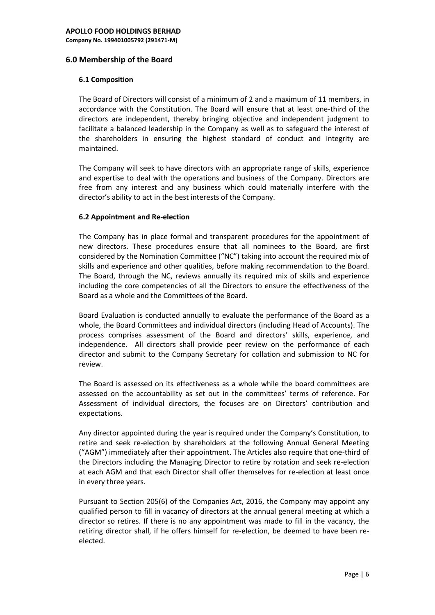### **6.0 Membership of the Board**

#### **6.1 Composition**

The Board of Directors will consist of a minimum of 2 and a maximum of 11 members, in accordance with the Constitution. The Board will ensure that at least one-third of the directors are independent, thereby bringing objective and independent judgment to facilitate a balanced leadership in the Company as well as to safeguard the interest of the shareholders in ensuring the highest standard of conduct and integrity are maintained.

The Company will seek to have directors with an appropriate range of skills, experience and expertise to deal with the operations and business of the Company. Directors are free from any interest and any business which could materially interfere with the director's ability to act in the best interests of the Company.

### **6.2 Appointment and Re-election**

The Company has in place formal and transparent procedures for the appointment of new directors. These procedures ensure that all nominees to the Board, are first considered by the Nomination Committee ("NC") taking into account the required mix of skills and experience and other qualities, before making recommendation to the Board. The Board, through the NC, reviews annually its required mix of skills and experience including the core competencies of all the Directors to ensure the effectiveness of the Board as a whole and the Committees of the Board.

Board Evaluation is conducted annually to evaluate the performance of the Board as a whole, the Board Committees and individual directors (including Head of Accounts). The process comprises assessment of the Board and directors' skills, experience, and independence. All directors shall provide peer review on the performance of each director and submit to the Company Secretary for collation and submission to NC for review.

The Board is assessed on its effectiveness as a whole while the board committees are assessed on the accountability as set out in the committees' terms of reference. For Assessment of individual directors, the focuses are on Directors' contribution and expectations.

Any director appointed during the year is required under the Company's Constitution, to retire and seek re-election by shareholders at the following Annual General Meeting ("AGM") immediately after their appointment. The Articles also require that one-third of the Directors including the Managing Director to retire by rotation and seek re-election at each AGM and that each Director shall offer themselves for re-election at least once in every three years.

Pursuant to Section 205(6) of the Companies Act, 2016, the Company may appoint any qualified person to fill in vacancy of directors at the annual general meeting at which a director so retires. If there is no any appointment was made to fill in the vacancy, the retiring director shall, if he offers himself for re-election, be deemed to have been reelected.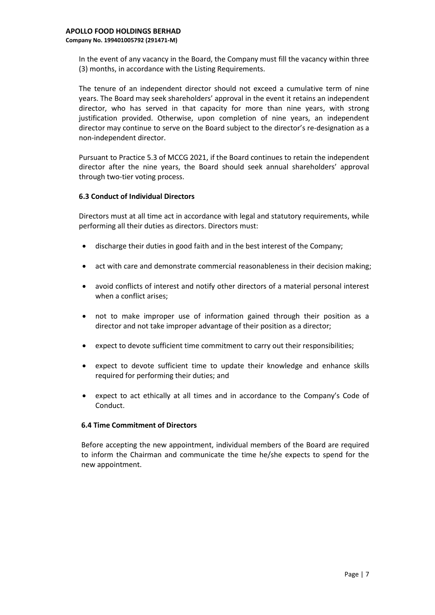In the event of any vacancy in the Board, the Company must fill the vacancy within three (3) months, in accordance with the Listing Requirements.

The tenure of an independent director should not exceed a cumulative term of nine years. The Board may seek shareholders' approval in the event it retains an independent director, who has served in that capacity for more than nine years, with strong justification provided. Otherwise, upon completion of nine years, an independent director may continue to serve on the Board subject to the director's re-designation as a non-independent director.

Pursuant to Practice 5.3 of MCCG 2021, if the Board continues to retain the independent director after the nine years, the Board should seek annual shareholders' approval through two-tier voting process.

### **6.3 Conduct of Individual Directors**

Directors must at all time act in accordance with legal and statutory requirements, while performing all their duties as directors. Directors must:

- discharge their duties in good faith and in the best interest of the Company;
- act with care and demonstrate commercial reasonableness in their decision making;
- avoid conflicts of interest and notify other directors of a material personal interest when a conflict arises;
- not to make improper use of information gained through their position as a director and not take improper advantage of their position as a director;
- expect to devote sufficient time commitment to carry out their responsibilities;
- expect to devote sufficient time to update their knowledge and enhance skills required for performing their duties; and
- expect to act ethically at all times and in accordance to the Company's Code of Conduct.

#### **6.4 Time Commitment of Directors**

Before accepting the new appointment, individual members of the Board are required to inform the Chairman and communicate the time he/she expects to spend for the new appointment.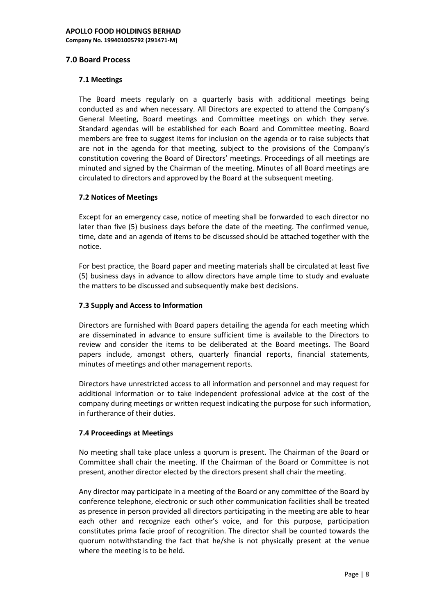## **7.0 Board Process**

### **7.1 Meetings**

The Board meets regularly on a quarterly basis with additional meetings being conducted as and when necessary. All Directors are expected to attend the Company's General Meeting, Board meetings and Committee meetings on which they serve. Standard agendas will be established for each Board and Committee meeting. Board members are free to suggest items for inclusion on the agenda or to raise subjects that are not in the agenda for that meeting, subject to the provisions of the Company's constitution covering the Board of Directors' meetings. Proceedings of all meetings are minuted and signed by the Chairman of the meeting. Minutes of all Board meetings are circulated to directors and approved by the Board at the subsequent meeting.

### **7.2 Notices of Meetings**

Except for an emergency case, notice of meeting shall be forwarded to each director no later than five (5) business days before the date of the meeting. The confirmed venue, time, date and an agenda of items to be discussed should be attached together with the notice.

For best practice, the Board paper and meeting materials shall be circulated at least five (5) business days in advance to allow directors have ample time to study and evaluate the matters to be discussed and subsequently make best decisions.

### **7.3 Supply and Access to Information**

Directors are furnished with Board papers detailing the agenda for each meeting which are disseminated in advance to ensure sufficient time is available to the Directors to review and consider the items to be deliberated at the Board meetings. The Board papers include, amongst others, quarterly financial reports, financial statements, minutes of meetings and other management reports.

Directors have unrestricted access to all information and personnel and may request for additional information or to take independent professional advice at the cost of the company during meetings or written request indicating the purpose for such information, in furtherance of their duties.

## **7.4 Proceedings at Meetings**

No meeting shall take place unless a quorum is present. The Chairman of the Board or Committee shall chair the meeting. If the Chairman of the Board or Committee is not present, another director elected by the directors present shall chair the meeting.

Any director may participate in a meeting of the Board or any committee of the Board by conference telephone, electronic or such other communication facilities shall be treated as presence in person provided all directors participating in the meeting are able to hear each other and recognize each other's voice, and for this purpose, participation constitutes prima facie proof of recognition. The director shall be counted towards the quorum notwithstanding the fact that he/she is not physically present at the venue where the meeting is to be held.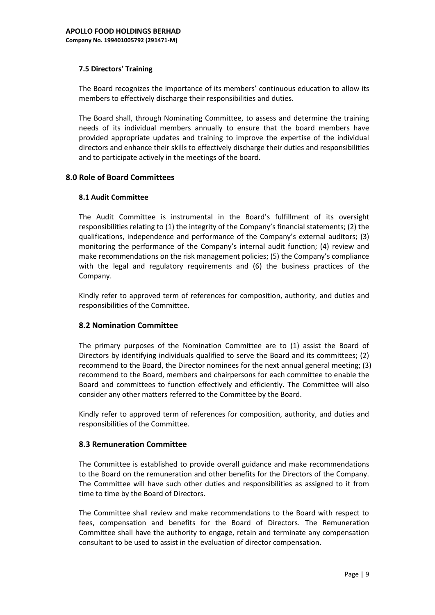### **7.5 Directors' Training**

The Board recognizes the importance of its members' continuous education to allow its members to effectively discharge their responsibilities and duties.

The Board shall, through Nominating Committee, to assess and determine the training needs of its individual members annually to ensure that the board members have provided appropriate updates and training to improve the expertise of the individual directors and enhance their skills to effectively discharge their duties and responsibilities and to participate actively in the meetings of the board.

## **8.0 Role of Board Committees**

#### **8.1 Audit Committee**

The Audit Committee is instrumental in the Board's fulfillment of its oversight responsibilities relating to (1) the integrity of the Company's financial statements; (2) the qualifications, independence and performance of the Company's external auditors; (3) monitoring the performance of the Company's internal audit function; (4) review and make recommendations on the risk management policies; (5) the Company's compliance with the legal and regulatory requirements and (6) the business practices of the Company.

Kindly refer to approved term of references for composition, authority, and duties and responsibilities of the Committee.

## **8.2 Nomination Committee**

The primary purposes of the Nomination Committee are to (1) assist the Board of Directors by identifying individuals qualified to serve the Board and its committees; (2) recommend to the Board, the Director nominees for the next annual general meeting; (3) recommend to the Board, members and chairpersons for each committee to enable the Board and committees to function effectively and efficiently. The Committee will also consider any other matters referred to the Committee by the Board.

Kindly refer to approved term of references for composition, authority, and duties and responsibilities of the Committee.

#### **8.3 Remuneration Committee**

The Committee is established to provide overall guidance and make recommendations to the Board on the remuneration and other benefits for the Directors of the Company. The Committee will have such other duties and responsibilities as assigned to it from time to time by the Board of Directors.

The Committee shall review and make recommendations to the Board with respect to fees, compensation and benefits for the Board of Directors. The Remuneration Committee shall have the authority to engage, retain and terminate any compensation consultant to be used to assist in the evaluation of director compensation.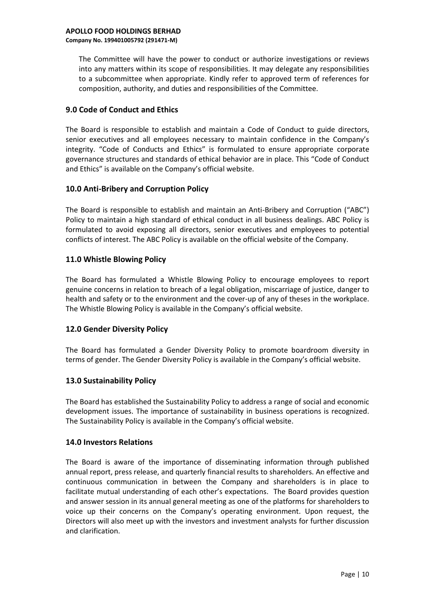The Committee will have the power to conduct or authorize investigations or reviews into any matters within its scope of responsibilities. It may delegate any responsibilities to a subcommittee when appropriate. Kindly refer to approved term of references for composition, authority, and duties and responsibilities of the Committee.

## **9.0 Code of Conduct and Ethics**

The Board is responsible to establish and maintain a Code of Conduct to guide directors, senior executives and all employees necessary to maintain confidence in the Company's integrity. "Code of Conducts and Ethics" is formulated to ensure appropriate corporate governance structures and standards of ethical behavior are in place. This "Code of Conduct and Ethics" is available on the Company's official website.

## **10.0 Anti-Bribery and Corruption Policy**

The Board is responsible to establish and maintain an Anti-Bribery and Corruption ("ABC") Policy to maintain a high standard of ethical conduct in all business dealings. ABC Policy is formulated to avoid exposing all directors, senior executives and employees to potential conflicts of interest. The ABC Policy is available on the official website of the Company.

## **11.0 Whistle Blowing Policy**

The Board has formulated a Whistle Blowing Policy to encourage employees to report genuine concerns in relation to breach of a legal obligation, miscarriage of justice, danger to health and safety or to the environment and the cover-up of any of theses in the workplace. The Whistle Blowing Policy is available in the Company's official website.

## **12.0 Gender Diversity Policy**

The Board has formulated a Gender Diversity Policy to promote boardroom diversity in terms of gender. The Gender Diversity Policy is available in the Company's official website.

## **13.0 Sustainability Policy**

The Board has established the Sustainability Policy to address a range of social and economic development issues. The importance of sustainability in business operations is recognized. The Sustainability Policy is available in the Company's official website.

## **14.0 Investors Relations**

The Board is aware of the importance of disseminating information through published annual report, press release, and quarterly financial results to shareholders. An effective and continuous communication in between the Company and shareholders is in place to facilitate mutual understanding of each other's expectations. The Board provides question and answer session in its annual general meeting as one of the platforms for shareholders to voice up their concerns on the Company's operating environment. Upon request, the Directors will also meet up with the investors and investment analysts for further discussion and clarification.